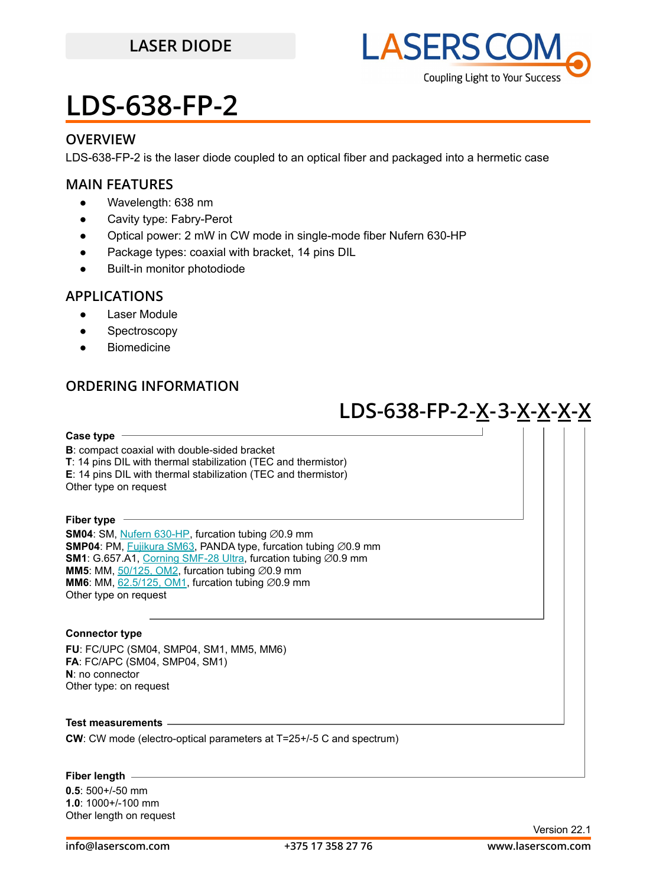

### **OVERVIEW**

LDS-638-FP-2 is the laser diode coupled to an optical fiber and packaged into a hermetic case

### **MAIN FEATURES**

- Wavelength: 638 nm
- Cavity type: Fabry-Perot
- Optical power: 2 mW in CW mode in single-mode fiber Nufern 630-HP
- Package types: coaxial with bracket, 14 pins DIL
- Built-in monitor photodiode

#### **APPLICATIONS**

- Laser Module
- Spectroscopy
- Biomedicine

## **ORDERING INFORMATION**

## **LDS-638-FP-2-X-3-X-X-X-X**

**Case type B**: compact coaxial with double-sided bracket **T**: 14 pins DIL with thermal stabilization (TEC and thermistor) **E**: 14 pins DIL with thermal stabilization (TEC and thermistor) Other type on request **Fiber type SM04**: SM, [Nufern 630-HP,](https://drive.google.com/file/d/12j5dGqxbssZEcfLVHgwBzsAFk-iMW5Xv/view?usp=sharing) furcation tubing ∅0.9 mm

**SMP04**: PM, [Fujikura SM63,](https://drive.google.com/file/d/1dCMTXQjFu8DDh8mAv9fO-URwBNrg9t2w/view?usp=sharing) PANDA type, furcation tubing ∅0.9 mm **SM1**: G.657.A1, [Corning SMF-28 Ultra,](https://drive.google.com/file/d/1JeMdVLHUIGFdzKdBnzaeOmjsa81S284f/view?usp=sharing) furcation tubing ∅0.9 mm **MM5**: MM,  $50/125$ , OM2, furcation tubing  $\varnothing$ 0.9 mm **MM6**: MM, [62.5/125, OM1](https://drive.google.com/file/d/141y9cpyTUucitG8G9RRCNeusOhL5JLC1/view?usp=sharing), furcation tubing ∅0.9 mm Other type on request

#### **Connector type**

**FU**: FC/UPC (SM04, SMP04, SM1, MM5, MM6) **FA**: FC/APC (SM04, SMP04, SM1) **N**: no connector Other type: on request

**Test measurements**

**CW**: CW mode (electro-optical parameters at T=25+/-5 C and spectrum)

**Fiber length**

**0.5**: 500+/-50 mm **1.0**: 1000+/-100 mm Other length on request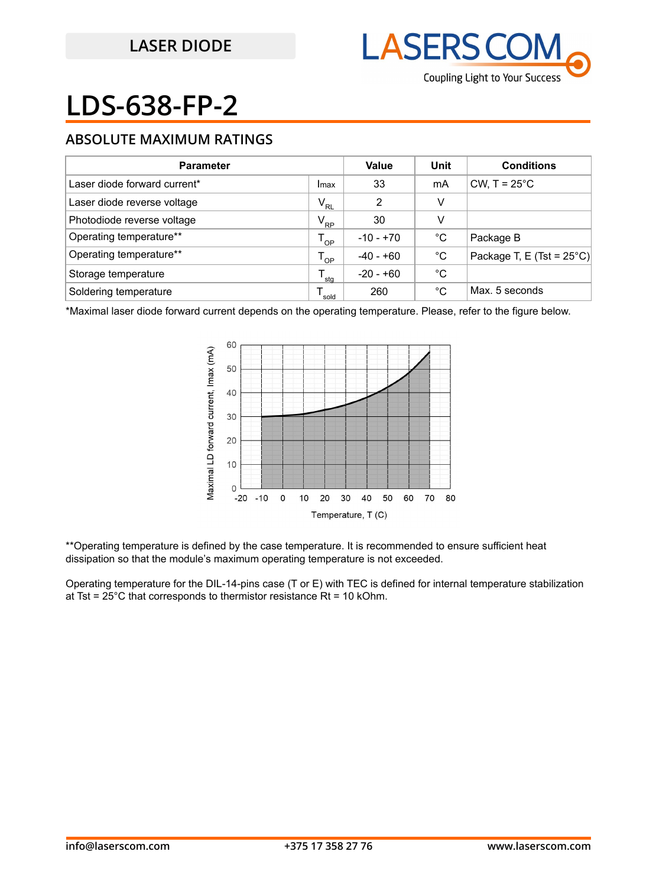

## **ABSOLUTE MAXIMUM RATINGS**

| <b>Parameter</b>             |              | Value       | Unit | <b>Conditions</b>                   |
|------------------------------|--------------|-------------|------|-------------------------------------|
| Laser diode forward current* | Imax         | 33          | mA   | CW, $T = 25^{\circ}$ C              |
| Laser diode reverse voltage  | $V_{RL}$     | 2           | V    |                                     |
| Photodiode reverse voltage   | $V_{\rm RP}$ | 30          | V    |                                     |
| Operating temperature**      | $T_{OP}$     | $-10 - +70$ | °C   | Package B                           |
| Operating temperature**      | י ח∩         | $-40 - +60$ | °C   | Package T, E (Tst = $25^{\circ}$ C) |
| Storage temperature          | sta          | $-20 - +60$ | °C   |                                     |
| Soldering temperature        | sold         | 260         | °C   | Max. 5 seconds                      |

\*Maximal laser diode forward current depends on the operating temperature. Please, refer to the figure below.



\*\*Operating temperature is defined by the case temperature. It is recommended to ensure sufficient heat dissipation so that the module's maximum operating temperature is not exceeded.

Operating temperature for the DIL-14-pins case (T or E) with TEC is defined for internal temperature stabilization at Tst =  $25^{\circ}$ C that corresponds to thermistor resistance Rt = 10 kOhm.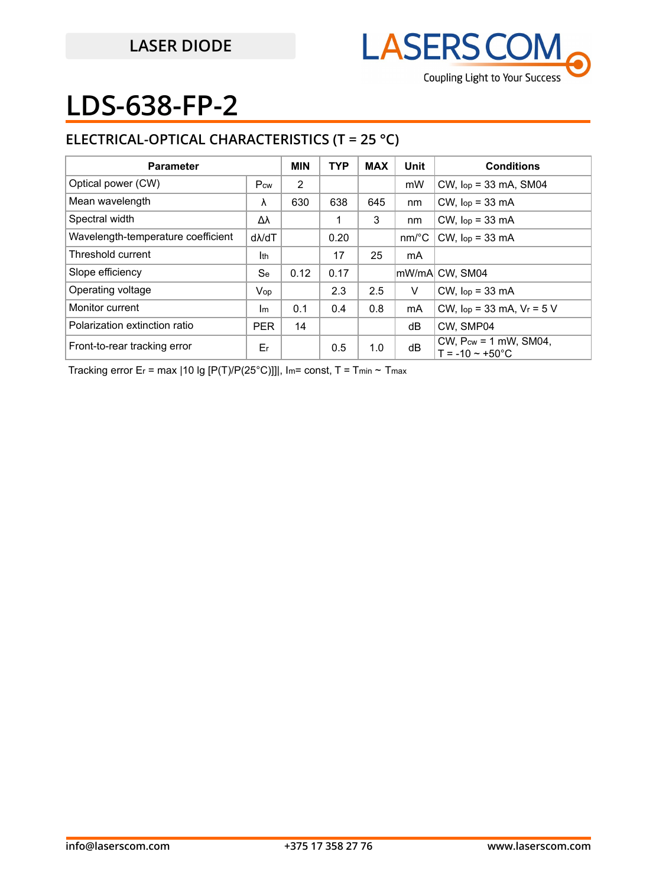

## **ELECTRICAL-OPTICAL CHARACTERISTICS (T = 25 °C)**

| <b>Parameter</b>                   |               | <b>MIN</b> | <b>TYP</b> | <b>MAX</b> | Unit                  | <b>Conditions</b>                                             |
|------------------------------------|---------------|------------|------------|------------|-----------------------|---------------------------------------------------------------|
| Optical power (CW)                 | Pcw           | 2          |            |            | mW                    | $CW$ , $lop = 33$ mA, SM04                                    |
| Mean wavelength                    | λ             | 630        | 638        | 645        | nm                    | $CW$ , $lop = 33$ mA                                          |
| Spectral width                     | Δλ            |            |            | 3          | nm                    | $CW$ , $lop = 33$ mA                                          |
| Wavelength-temperature coefficient | $d\lambda/dT$ |            | 0.20       |            | $nm$ <sup>o</sup> $C$ | $CW$ , $lop = 33$ mA                                          |
| Threshold current                  | Ith           |            | 17         | 25         | mA                    |                                                               |
| Slope efficiency                   | <b>Se</b>     | 0.12       | 0.17       |            |                       | lmW/mAl CW. SM04                                              |
| Operating voltage                  | Vop           |            | 2.3        | 2.5        | V                     | $CW$ , $lop = 33$ mA                                          |
| Monitor current                    | Im            | 0.1        | 0.4        | 0.8        | mA                    | CW, $lop = 33$ mA, $V_r = 5$ V                                |
| Polarization extinction ratio      | <b>PER</b>    | 14         |            |            | dB                    | CW. SMP04                                                     |
| Front-to-rear tracking error       | Er            |            | 0.5        | 1.0        | dB                    | CW, $P_{cw} = 1$ mW, SM04,<br>$T = -10 \approx +50^{\circ}$ C |

Tracking error Er = max | 10 lg [P(T)/P(25°C)]]|, Im= const, T = Tmin ~ Tmax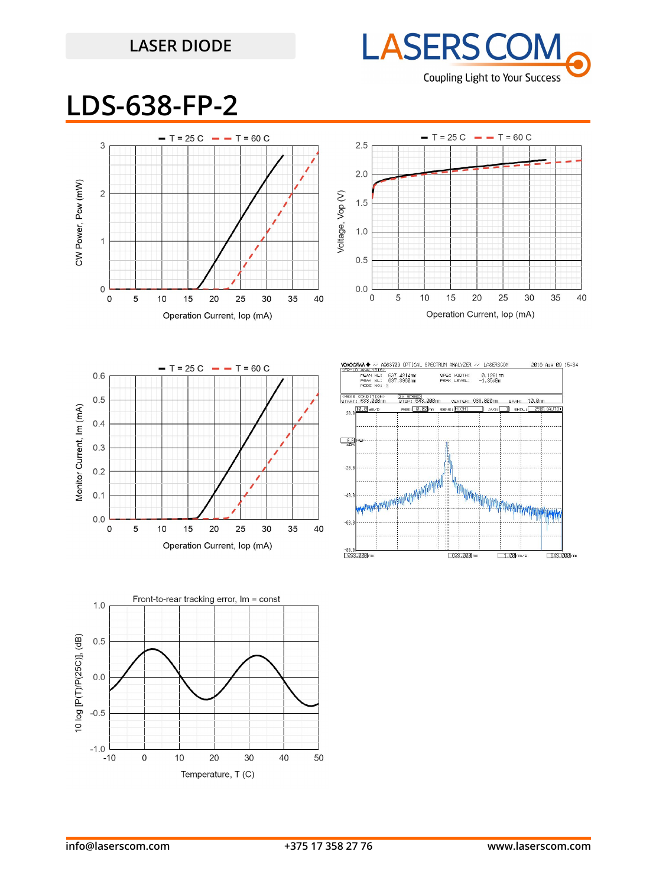## **LASER DIODE**



## **LDS-638-FP-2**







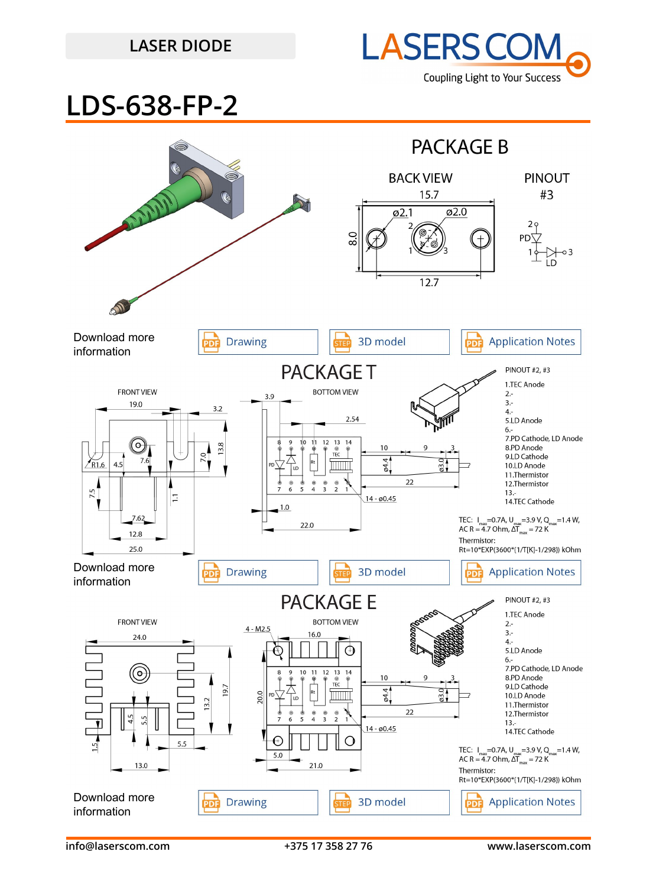## **LASER DIODE**



**LDS-638-FP-2**